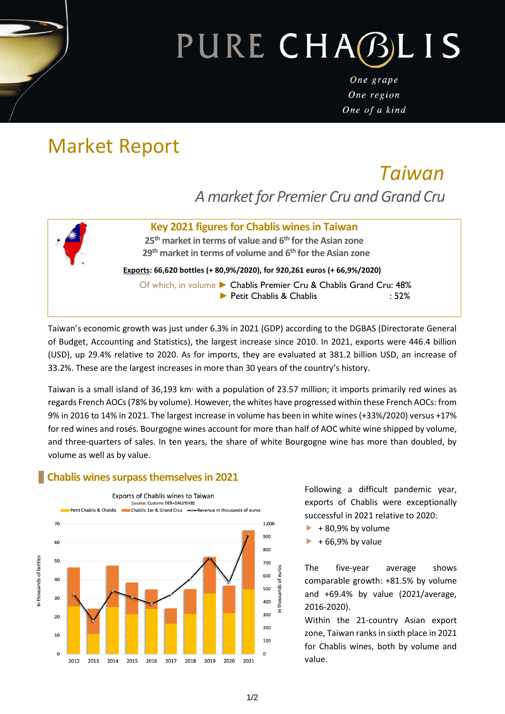# PURE CHABLIS

One grape One region One of a kind

## Market Report

### *Taiwan A market for Premier Cru and Grand Cru*

#### **Key 2021 figures for Chablis wines in Taiwan**

**25 th market in terms of value and 6 th for the Asian zone 29th market in terms of volume and 6 th for the Asian zone**

**Exports: 66,620 bottles (+ 80,9%/2020), for 920,261 euros (+ 66,9%/2020)**

Of which, in volume ► Chablis Premier Cru & Chablis Grand Cru: 48% ► Petit Chablis & Chablis : 52%

Taiwan's economic growth was just under 6.3% in 2021 (GDP) according to the DGBAS (Directorate General of Budget, Accounting and Statistics), the largest increase since 2010. In 2021, exports were 446.4 billion (USD), up 29.4% relative to 2020. As for imports, they are evaluated at 381.2 billion USD, an increase of 33.2%. These are the largest increases in more than 30 years of the country's history.

Taiwan is a small island of 36,193 km<sup>2</sup> with a population of 23.57 million; it imports primarily red wines as regards French AOCs (78% by volume). However, the whites have progressed within these French AOCs: from 9% in 2016 to 14% in 2021. The largest increase in volume has been in white wines (+33%/2020) versus +17% for red wines and rosés. Bourgogne wines account for more than half of AOC white wine shipped by volume, and three-quarters of sales. In ten years, the share of white Bourgogne wine has more than doubled, by volume as well as by value.

#### **Chablis wines surpass themselves in 2021**



Following a difficult pandemic year, exports of Chablis were exceptionally successful in 2021 relative to 2020:

- $+ 80,9%$  by volume
- + 66,9% by value

The five-year average shows comparable growth: +81.5% by volume and +69.4% by value (2021/average, 2016-2020).

Within the 21-country Asian export zone, Taiwan ranks in sixth place in 2021 for Chablis wines, both by volume and value.